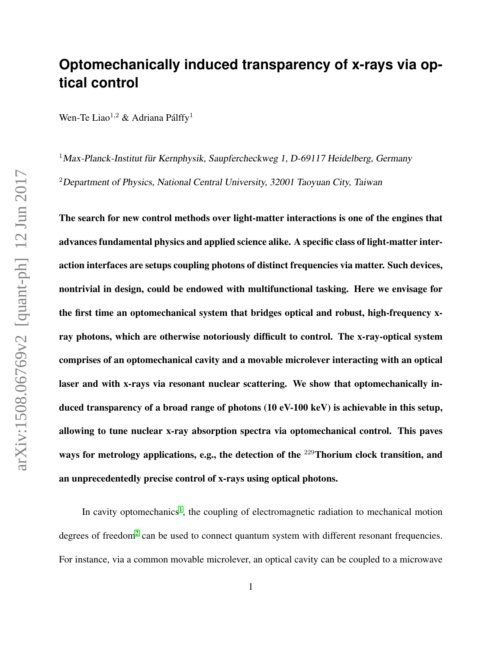## **Optomechanically induced transparency of x-rays via optical control**

Wen-Te Liao<sup>1,2</sup> & Adriana Pálffy<sup>1</sup>

 $1$ Max-Planck-Institut für Kernphysik, Saupfercheckweg 1, D-69117 Heidelberg, Germany <sup>2</sup>Department of Physics, National Central University, 32001 Taoyuan City, Taiwan

The search for new control methods over light-matter interactions is one of the engines that advances fundamental physics and applied science alike. A specific class of light-matter interaction interfaces are setups coupling photons of distinct frequencies via matter. Such devices, nontrivial in design, could be endowed with multifunctional tasking. Here we envisage for the first time an optomechanical system that bridges optical and robust, high-frequency xray photons, which are otherwise notoriously difficult to control. The x-ray-optical system comprises of an optomechanical cavity and a movable microlever interacting with an optical laser and with x-rays via resonant nuclear scattering. We show that optomechanically induced transparency of a broad range of photons (10 eV-100 keV) is achievable in this setup, allowing to tune nuclear x-ray absorption spectra via optomechanical control. This paves ways for metrology applications, e.g., the detection of the <sup>229</sup>Thorium clock transition, and an unprecedentedly precise control of x-rays using optical photons.

In cavity optomechanics<sup>[1](#page-8-0)</sup>, the coupling of electromagnetic radiation to mechanical motion degrees of freedom<sup>[2](#page-8-1)</sup> can be used to connect quantum system with different resonant frequencies. For instance, via a common movable microlever, an optical cavity can be coupled to a microwave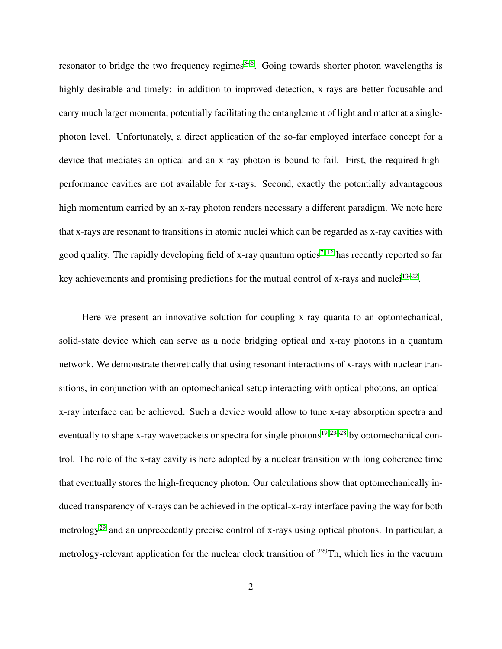resonator to bridge the two frequency regimes $3-6$  $3-6$ . Going towards shorter photon wavelengths is highly desirable and timely: in addition to improved detection, x-rays are better focusable and carry much larger momenta, potentially facilitating the entanglement of light and matter at a singlephoton level. Unfortunately, a direct application of the so-far employed interface concept for a device that mediates an optical and an x-ray photon is bound to fail. First, the required highperformance cavities are not available for x-rays. Second, exactly the potentially advantageous high momentum carried by an x-ray photon renders necessary a different paradigm. We note here that x-rays are resonant to transitions in atomic nuclei which can be regarded as x-ray cavities with good quality. The rapidly developing field of x-ray quantum optics<sup>7-[12](#page-9-0)</sup> has recently reported so far key achievements and promising predictions for the mutual control of x-rays and nuclei<sup>[13](#page-9-1)-22</sup>.

Here we present an innovative solution for coupling x-ray quanta to an optomechanical, solid-state device which can serve as a node bridging optical and x-ray photons in a quantum network. We demonstrate theoretically that using resonant interactions of x-rays with nuclear transitions, in conjunction with an optomechanical setup interacting with optical photons, an opticalx-ray interface can be achieved. Such a device would allow to tune x-ray absorption spectra and eventually to shape x-ray wavepackets or spectra for single photons<sup>[19,](#page-10-1) [23–](#page-10-2)[28](#page-11-0)</sup> by optomechanical control. The role of the x-ray cavity is here adopted by a nuclear transition with long coherence time that eventually stores the high-frequency photon. Our calculations show that optomechanically induced transparency of x-rays can be achieved in the optical-x-ray interface paving the way for both metrology<sup>[29](#page-11-1)</sup> and an unprecedently precise control of x-rays using optical photons. In particular, a metrology-relevant application for the nuclear clock transition of <sup>229</sup>Th, which lies in the vacuum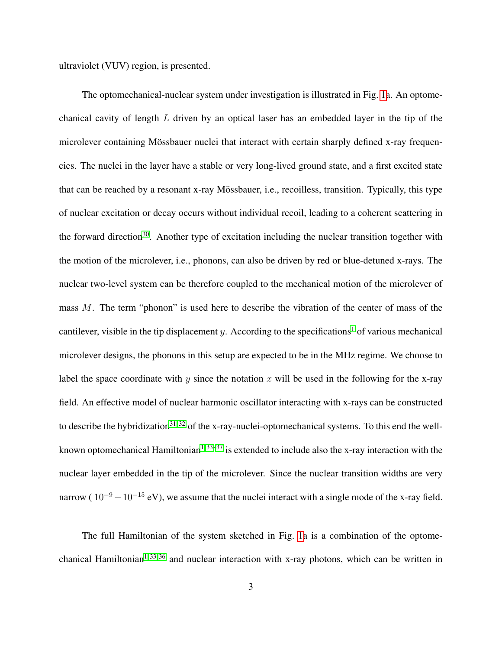ultraviolet (VUV) region, is presented.

The optomechanical-nuclear system under investigation is illustrated in Fig. [1a](#page-17-0). An optomechanical cavity of length L driven by an optical laser has an embedded layer in the tip of the microlever containing Mössbauer nuclei that interact with certain sharply defined x-ray frequencies. The nuclei in the layer have a stable or very long-lived ground state, and a first excited state that can be reached by a resonant x-ray Mössbauer, i.e., recoilless, transition. Typically, this type of nuclear excitation or decay occurs without individual recoil, leading to a coherent scattering in the forward direction<sup>[30](#page-11-2)</sup>. Another type of excitation including the nuclear transition together with the motion of the microlever, i.e., phonons, can also be driven by red or blue-detuned x-rays. The nuclear two-level system can be therefore coupled to the mechanical motion of the microlever of mass M. The term "phonon" is used here to describe the vibration of the center of mass of the cantilever, visible in the tip displacement y. According to the specifications<sup>[1](#page-8-0)</sup> of various mechanical microlever designs, the phonons in this setup are expected to be in the MHz regime. We choose to label the space coordinate with y since the notation x will be used in the following for the x-ray field. An effective model of nuclear harmonic oscillator interacting with x-rays can be constructed to describe the hybridization<sup>[31,](#page-11-3) [32](#page-11-4)</sup> of the x-ray-nuclei-optomechanical systems. To this end the well-known optomechanical Hamiltonian<sup>[1,](#page-8-0) [33–](#page-11-5)[37](#page-11-6)</sup> is extended to include also the x-ray interaction with the nuclear layer embedded in the tip of the microlever. Since the nuclear transition widths are very narrow ( $10^{-9} - 10^{-15}$  eV), we assume that the nuclei interact with a single mode of the x-ray field.

The full Hamiltonian of the system sketched in Fig. [1a](#page-17-0) is a combination of the optome-chanical Hamiltonian<sup>[1,](#page-8-0) [33,](#page-11-5) [36](#page-11-7)</sup> and nuclear interaction with x-ray photons, which can be written in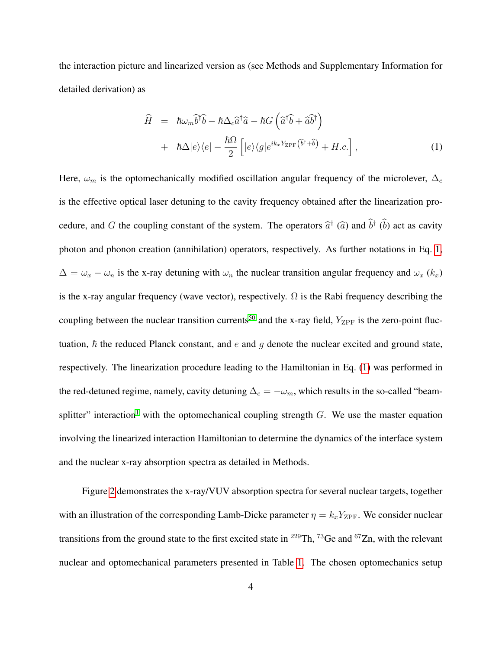the interaction picture and linearized version as (see Methods and Supplementary Information for detailed derivation) as

<span id="page-3-0"></span>
$$
\hat{H} = \hbar\omega_m \hat{b}^\dagger \hat{b} - \hbar\Delta_c \hat{a}^\dagger \hat{a} - \hbar G \left( \hat{a}^\dagger \hat{b} + \hat{a} \hat{b}^\dagger \right) \n+ \hbar\Delta|e\rangle\langle e| - \frac{\hbar\Omega}{2} \left[ |e\rangle\langle g|e^{ik_x Y_{\rm ZPF}(\hat{b}^\dagger + \hat{b})} + H.c. \right],
$$
\n(1)

Here,  $\omega_m$  is the optomechanically modified oscillation angular frequency of the microlever,  $\Delta_c$ is the effective optical laser detuning to the cavity frequency obtained after the linearization procedure, and G the coupling constant of the system. The operators  $\hat{a}^{\dagger}$  ( $\hat{a}$ ) and  $\hat{b}^{\dagger}$  ( $\hat{b}$ ) act as cavity photon and phonon creation (annihilation) operators, respectively. As further notations in Eq. [1,](#page-3-0)  $\Delta = \omega_x - \omega_n$  is the x-ray detuning with  $\omega_n$  the nuclear transition angular frequency and  $\omega_x$  (k<sub>x</sub>) is the x-ray angular frequency (wave vector), respectively.  $\Omega$  is the Rabi frequency describing the coupling between the nuclear transition currents<sup>[50](#page-13-0)</sup> and the x-ray field,  $Y_{\text{ZPF}}$  is the zero-point fluctuation,  $\hbar$  the reduced Planck constant, and e and q denote the nuclear excited and ground state, respectively. The linearization procedure leading to the Hamiltonian in Eq. [\(1\)](#page-3-0) was performed in the red-detuned regime, namely, cavity detuning  $\Delta_c = -\omega_m$ , which results in the so-called "beam-splitter" interaction<sup>[1](#page-8-0)</sup> with the optomechanical coupling strength  $G$ . We use the master equation involving the linearized interaction Hamiltonian to determine the dynamics of the interface system and the nuclear x-ray absorption spectra as detailed in Methods.

Figure [2](#page-19-0) demonstrates the x-ray/VUV absorption spectra for several nuclear targets, together with an illustration of the corresponding Lamb-Dicke parameter  $\eta = k_x Y_{\text{ZPF}}$ . We consider nuclear transitions from the ground state to the first excited state in <sup>229</sup>Th, <sup>73</sup>Ge and <sup>67</sup>Zn, with the relevant nuclear and optomechanical parameters presented in Table [1.](#page-18-0) The chosen optomechanics setup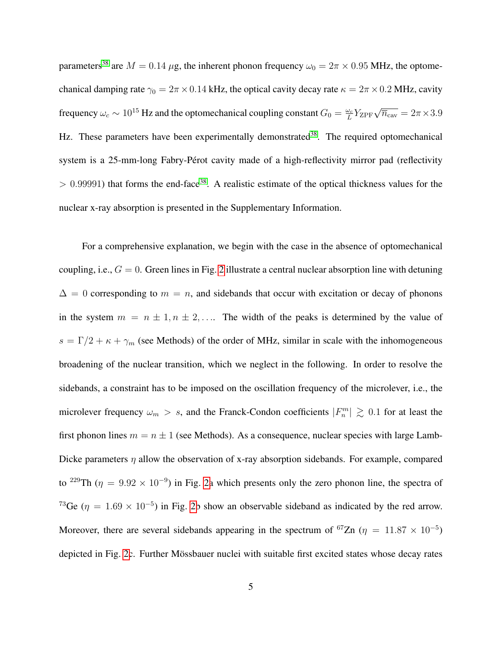parameters<sup>[38](#page-12-0)</sup> are  $M = 0.14 \mu$ g, the inherent phonon frequency  $\omega_0 = 2\pi \times 0.95$  MHz, the optomechanical damping rate  $\gamma_0 = 2\pi \times 0.14$  kHz, the optical cavity decay rate  $\kappa = 2\pi \times 0.2$  MHz, cavity frequency  $\omega_c \sim 10^{15}$  Hz and the optomechanical coupling constant  $G_0 = \frac{\omega_c}{L}$  $\frac{\omega_c}{L} Y_{\rm ZPF} \sqrt{\overline{n}_{\rm cav}} = 2\pi \times 3.9$ Hz. These parameters have been experimentally demonstrated<sup>[38](#page-12-0)</sup>. The required optomechanical system is a 25-mm-long Fabry-Pérot cavity made of a high-reflectivity mirror pad (reflectivity  $> 0.99991$ ) that forms the end-face<sup>[38](#page-12-0)</sup>. A realistic estimate of the optical thickness values for the nuclear x-ray absorption is presented in the Supplementary Information.

For a comprehensive explanation, we begin with the case in the absence of optomechanical coupling, i.e.,  $G = 0$ . Green lines in Fig. [2](#page-19-0) illustrate a central nuclear absorption line with detuning  $\Delta = 0$  corresponding to  $m = n$ , and sidebands that occur with excitation or decay of phonons in the system  $m = n \pm 1, n \pm 2, \ldots$  The width of the peaks is determined by the value of  $s = \Gamma/2 + \kappa + \gamma_m$  (see Methods) of the order of MHz, similar in scale with the inhomogeneous broadening of the nuclear transition, which we neglect in the following. In order to resolve the sidebands, a constraint has to be imposed on the oscillation frequency of the microlever, i.e., the microlever frequency  $\omega_m > s$ , and the Franck-Condon coefficients  $|F_n^m| \gtrsim 0.1$  for at least the first phonon lines  $m = n \pm 1$  (see Methods). As a consequence, nuclear species with large Lamb-Dicke parameters  $\eta$  allow the observation of x-ray absorption sidebands. For example, compared to <sup>229</sup>Th ( $\eta = 9.92 \times 10^{-9}$ ) in Fig. [2a](#page-19-0) which presents only the zero phonon line, the spectra of <sup>73</sup>Ge ( $\eta = 1.69 \times 10^{-5}$ ) in Fig. [2b](#page-19-0) show an observable sideband as indicated by the red arrow. Moreover, there are several sidebands appearing in the spectrum of <sup>67</sup>Zn ( $\eta = 11.87 \times 10^{-5}$ ) depicted in Fig. [2c](#page-19-0). Further Mössbauer nuclei with suitable first excited states whose decay rates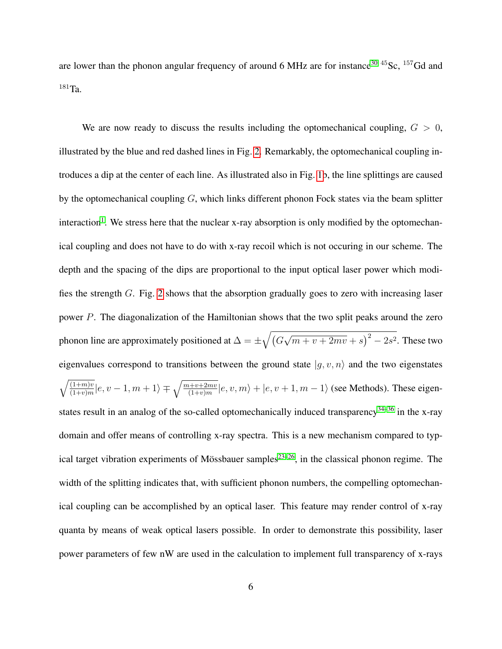are lower than the phonon angular frequency of around 6 MHz are for instance<sup>[30](#page-11-2) 45</sup>Sc,  $157$ Gd and  $^{181}$ Ta.

We are now ready to discuss the results including the optomechanical coupling,  $G > 0$ , illustrated by the blue and red dashed lines in Fig. [2.](#page-19-0) Remarkably, the optomechanical coupling introduces a dip at the center of each line. As illustrated also in Fig. [1b](#page-17-0), the line splittings are caused by the optomechanical coupling  $G$ , which links different phonon Fock states via the beam splitter interaction<sup>[1](#page-8-0)</sup>. We stress here that the nuclear x-ray absorption is only modified by the optomechanical coupling and does not have to do with x-ray recoil which is not occuring in our scheme. The depth and the spacing of the dips are proportional to the input optical laser power which modifies the strength G. Fig. [2](#page-19-0) shows that the absorption gradually goes to zero with increasing laser power P. The diagonalization of the Hamiltonian shows that the two split peaks around the zero phonon line are approximately positioned at  $\Delta = \pm \sqrt{(G - \Delta)^2}$ √  $(m+v+2mv+s)^2-2s^2$ . These two eigenvalues correspond to transitions between the ground state  $|g, v, n\rangle$  and the two eigenstates  $\sqrt{(1+m)v}$  $\frac{(1+m)v}{(1+v)m}|e, v-1, m+1\rangle \mp \sqrt{\frac{m+v+2mv}{(1+v)m}}|e, v, m\rangle + |e, v+1, m-1\rangle$  (see Methods). These eigenstates result in an analog of the so-called optomechanically induced transparency $34-36$  $34-36$  in the x-ray domain and offer means of controlling x-ray spectra. This is a new mechanism compared to typ-ical target vibration experiments of Mössbauer samples<sup>[23](#page-10-2)[–26](#page-10-3)</sup>, in the classical phonon regime. The width of the splitting indicates that, with sufficient phonon numbers, the compelling optomechanical coupling can be accomplished by an optical laser. This feature may render control of x-ray quanta by means of weak optical lasers possible. In order to demonstrate this possibility, laser power parameters of few nW are used in the calculation to implement full transparency of x-rays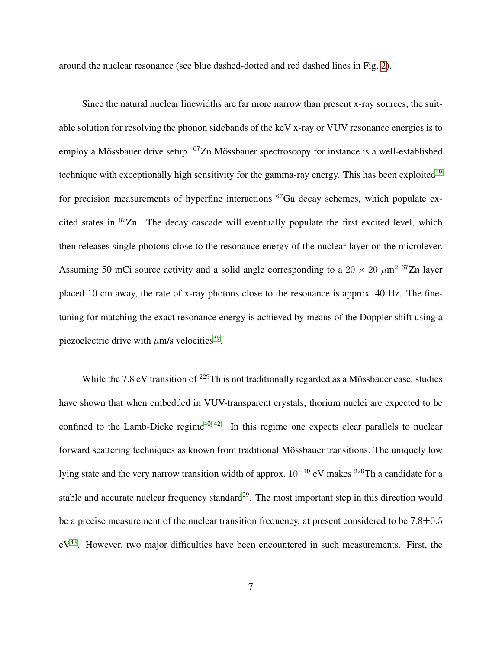around the nuclear resonance (see blue dashed-dotted and red dashed lines in Fig. [2\)](#page-19-0).

Since the natural nuclear linewidths are far more narrow than present x-ray sources, the suitable solution for resolving the phonon sidebands of the keV x-ray or VUV resonance energies is to employ a Mössbauer drive setup. <sup>67</sup>Zn Mössbauer spectroscopy for instance is a well-established technique with exceptionally high sensitivity for the gamma-ray energy. This has been exploited<sup>[39](#page-12-1)</sup> for precision measurements of hyperfine interactions  ${}^{67}Ga$  decay schemes, which populate excited states in  $67Zn$ . The decay cascade will eventually populate the first excited level, which then releases single photons close to the resonance energy of the nuclear layer on the microlever. Assuming 50 mCi source activity and a solid angle corresponding to a  $20 \times 20 \ \mu m^2$  <sup>67</sup>Zn layer placed 10 cm away, the rate of x-ray photons close to the resonance is approx. 40 Hz. The finetuning for matching the exact resonance energy is achieved by means of the Doppler shift using a piezoelectric drive with  $\mu$ m/s velocities<sup>[39](#page-12-1)</sup>.

While the 7.8 eV transition of  $^{229}$ Th is not traditionally regarded as a Mössbauer case, studies have shown that when embedded in VUV-transparent crystals, thorium nuclei are expected to be confined to the Lamb-Dicke regime<sup>[40](#page-12-2)[–42](#page-12-3)</sup>. In this regime one expects clear parallels to nuclear forward scattering techniques as known from traditional Mössbauer transitions. The uniquely low lying state and the very narrow transition width of approx.  $10^{-19}$  eV makes <sup>229</sup>Th a candidate for a stable and accurate nuclear frequency standard<sup>[29](#page-11-1)</sup>. The most important step in this direction would be a precise measurement of the nuclear transition frequency, at present considered to be 7.8±0.5  $eV<sup>43</sup>$  $eV<sup>43</sup>$  $eV<sup>43</sup>$ . However, two major difficulties have been encountered in such measurements. First, the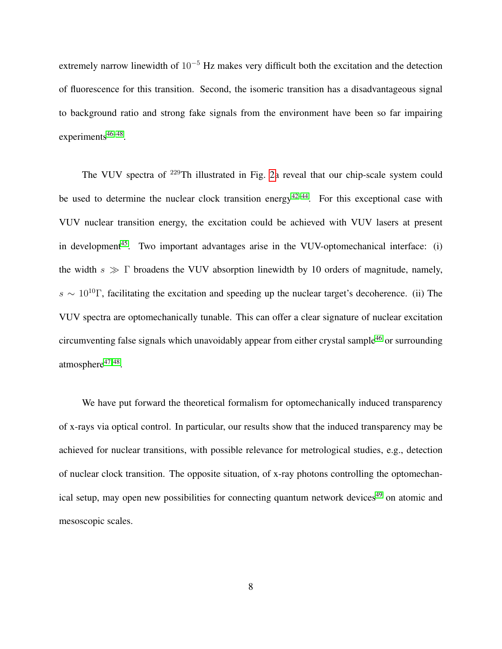extremely narrow linewidth of 10<sup>−</sup><sup>5</sup> Hz makes very difficult both the excitation and the detection of fluorescence for this transition. Second, the isomeric transition has a disadvantageous signal to background ratio and strong fake signals from the environment have been so far impairing experiments<sup>[46](#page-13-1)[–48](#page-13-2)</sup>.

The VUV spectra of <sup>229</sup>Th illustrated in Fig. [2a](#page-19-0) reveal that our chip-scale system could be used to determine the nuclear clock transition energy<sup>[42–](#page-12-3)[44](#page-12-5)</sup>. For this exceptional case with VUV nuclear transition energy, the excitation could be achieved with VUV lasers at present in development<sup>[45](#page-12-6)</sup>. Two important advantages arise in the VUV-optomechanical interface: (i) the width  $s \gg \Gamma$  broadens the VUV absorption linewidth by 10 orders of magnitude, namely,  $s \sim 10^{10}$  Γ, facilitating the excitation and speeding up the nuclear target's decoherence. (ii) The VUV spectra are optomechanically tunable. This can offer a clear signature of nuclear excitation circumventing false signals which unavoidably appear from either crystal sample<sup>[46](#page-13-1)</sup> or surrounding atmosphere<sup>[47,](#page-13-3)48</sup>.

We have put forward the theoretical formalism for optomechanically induced transparency of x-rays via optical control. In particular, our results show that the induced transparency may be achieved for nuclear transitions, with possible relevance for metrological studies, e.g., detection of nuclear clock transition. The opposite situation, of x-ray photons controlling the optomechan-ical setup, may open new possibilities for connecting quantum network devices<sup>[49](#page-13-4)</sup> on atomic and mesoscopic scales.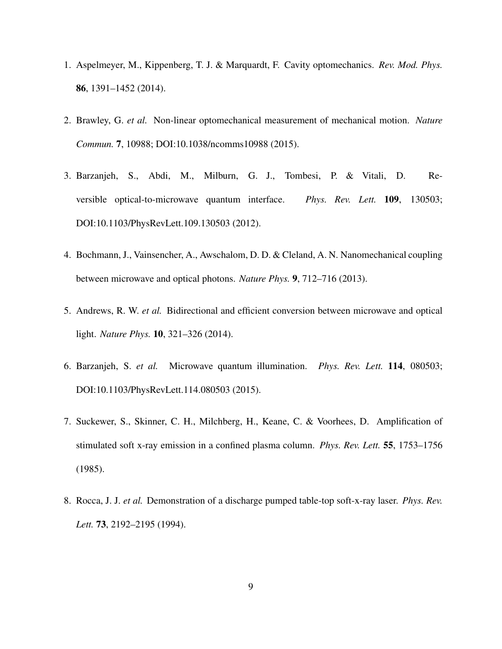- <span id="page-8-0"></span>1. Aspelmeyer, M., Kippenberg, T. J. & Marquardt, F. Cavity optomechanics. *Rev. Mod. Phys.* 86, 1391–1452 (2014).
- <span id="page-8-1"></span>2. Brawley, G. *et al.* Non-linear optomechanical measurement of mechanical motion. *Nature Commun.* 7, 10988; DOI:10.1038/ncomms10988 (2015).
- <span id="page-8-2"></span>3. Barzanjeh, S., Abdi, M., Milburn, G. J., Tombesi, P. & Vitali, D. Reversible optical-to-microwave quantum interface. *Phys. Rev. Lett.* 109, 130503; DOI:10.1103/PhysRevLett.109.130503 (2012).
- 4. Bochmann, J., Vainsencher, A., Awschalom, D. D. & Cleland, A. N. Nanomechanical coupling between microwave and optical photons. *Nature Phys.* 9, 712–716 (2013).
- 5. Andrews, R. W. *et al.* Bidirectional and efficient conversion between microwave and optical light. *Nature Phys.* 10, 321–326 (2014).
- <span id="page-8-3"></span>6. Barzanjeh, S. *et al.* Microwave quantum illumination. *Phys. Rev. Lett.* 114, 080503; DOI:10.1103/PhysRevLett.114.080503 (2015).
- <span id="page-8-4"></span>7. Suckewer, S., Skinner, C. H., Milchberg, H., Keane, C. & Voorhees, D. Amplification of stimulated soft x-ray emission in a confined plasma column. *Phys. Rev. Lett.* 55, 1753–1756 (1985).
- 8. Rocca, J. J. *et al.* Demonstration of a discharge pumped table-top soft-x-ray laser. *Phys. Rev. Lett.* 73, 2192–2195 (1994).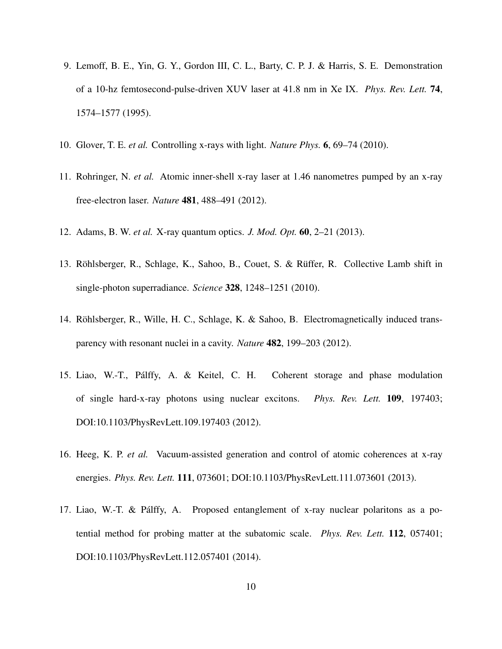- 9. Lemoff, B. E., Yin, G. Y., Gordon III, C. L., Barty, C. P. J. & Harris, S. E. Demonstration of a 10-hz femtosecond-pulse-driven XUV laser at 41.8 nm in Xe IX. *Phys. Rev. Lett.* 74, 1574–1577 (1995).
- 10. Glover, T. E. *et al.* Controlling x-rays with light. *Nature Phys.* 6, 69–74 (2010).
- 11. Rohringer, N. *et al.* Atomic inner-shell x-ray laser at 1.46 nanometres pumped by an x-ray free-electron laser. *Nature* 481, 488–491 (2012).
- <span id="page-9-1"></span><span id="page-9-0"></span>12. Adams, B. W. *et al.* X-ray quantum optics. *J. Mod. Opt.* 60, 2–21 (2013).
- 13. Röhlsberger, R., Schlage, K., Sahoo, B., Couet, S. & Rüffer, R. Collective Lamb shift in single-photon superradiance. *Science* 328, 1248–1251 (2010).
- 14. Röhlsberger, R., Wille, H. C., Schlage, K. & Sahoo, B. Electromagnetically induced transparency with resonant nuclei in a cavity. *Nature* 482, 199–203 (2012).
- 15. Liao, W.-T., Palffy, A. & Keitel, C. H. Coherent storage and phase modulation ´ of single hard-x-ray photons using nuclear excitons. *Phys. Rev. Lett.* 109, 197403; DOI:10.1103/PhysRevLett.109.197403 (2012).
- 16. Heeg, K. P. *et al.* Vacuum-assisted generation and control of atomic coherences at x-ray energies. *Phys. Rev. Lett.* 111, 073601; DOI:10.1103/PhysRevLett.111.073601 (2013).
- 17. Liao, W.-T. & Palffy, A. Proposed entanglement of x-ray nuclear polaritons as a po- ´ tential method for probing matter at the subatomic scale. *Phys. Rev. Lett.* 112, 057401; DOI:10.1103/PhysRevLett.112.057401 (2014).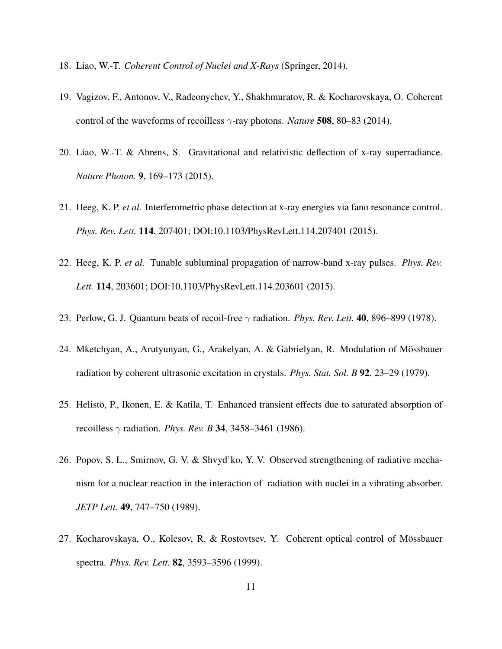- <span id="page-10-1"></span>18. Liao, W.-T. *Coherent Control of Nuclei and X-Rays* (Springer, 2014).
- 19. Vagizov, F., Antonov, V., Radeonychev, Y., Shakhmuratov, R. & Kocharovskaya, O. Coherent control of the waveforms of recoilless γ-ray photons. *Nature* 508, 80–83 (2014).
- 20. Liao, W.-T. & Ahrens, S. Gravitational and relativistic deflection of x-ray superradiance. *Nature Photon.* 9, 169–173 (2015).
- 21. Heeg, K. P. *et al.* Interferometric phase detection at x-ray energies via fano resonance control. *Phys. Rev. Lett.* 114, 207401; DOI:10.1103/PhysRevLett.114.207401 (2015).
- <span id="page-10-0"></span>22. Heeg, K. P. *et al.* Tunable subluminal propagation of narrow-band x-ray pulses. *Phys. Rev. Lett.* 114, 203601; DOI:10.1103/PhysRevLett.114.203601 (2015).
- <span id="page-10-2"></span>23. Perlow, G. J. Quantum beats of recoil-free γ radiation. *Phys. Rev. Lett.* 40, 896–899 (1978).
- 24. Mketchyan, A., Arutyunyan, G., Arakelyan, A. & Gabrielyan, R. Modulation of Mossbauer ¨ radiation by coherent ultrasonic excitation in crystals. *Phys. Stat. Sol. B* 92, 23–29 (1979).
- 25. Helistö, P., Ikonen, E. & Katila, T. Enhanced transient effects due to saturated absorption of recoilless γ radiation. *Phys. Rev. B* 34, 3458–3461 (1986).
- <span id="page-10-3"></span>26. Popov, S. L., Smirnov, G. V. & Shvyd'ko, Y. V. Observed strengthening of radiative mechanism for a nuclear reaction in the interaction of radiation with nuclei in a vibrating absorber. *JETP Lett.* 49, 747–750 (1989).
- 27. Kocharovskaya, O., Kolesov, R. & Rostovtsev, Y. Coherent optical control of Mossbauer ¨ spectra. *Phys. Rev. Lett.* 82, 3593–3596 (1999).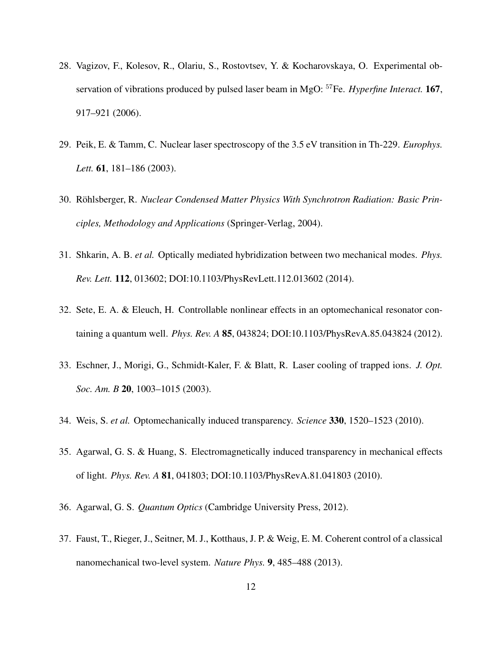- <span id="page-11-0"></span>28. Vagizov, F., Kolesov, R., Olariu, S., Rostovtsev, Y. & Kocharovskaya, O. Experimental observation of vibrations produced by pulsed laser beam in MgO: <sup>57</sup>Fe. *Hyperfine Interact.* 167, 917–921 (2006).
- <span id="page-11-1"></span>29. Peik, E. & Tamm, C. Nuclear laser spectroscopy of the 3.5 eV transition in Th-229. *Europhys. Lett.* 61, 181–186 (2003).
- <span id="page-11-2"></span>30. Röhlsberger, R. Nuclear Condensed Matter Physics With Synchrotron Radiation: Basic Prin*ciples, Methodology and Applications* (Springer-Verlag, 2004).
- <span id="page-11-3"></span>31. Shkarin, A. B. *et al.* Optically mediated hybridization between two mechanical modes. *Phys. Rev. Lett.* 112, 013602; DOI:10.1103/PhysRevLett.112.013602 (2014).
- <span id="page-11-4"></span>32. Sete, E. A. & Eleuch, H. Controllable nonlinear effects in an optomechanical resonator containing a quantum well. *Phys. Rev. A* 85, 043824; DOI:10.1103/PhysRevA.85.043824 (2012).
- <span id="page-11-5"></span>33. Eschner, J., Morigi, G., Schmidt-Kaler, F. & Blatt, R. Laser cooling of trapped ions. *J. Opt. Soc. Am. B* 20, 1003–1015 (2003).
- <span id="page-11-9"></span><span id="page-11-8"></span>34. Weis, S. *et al.* Optomechanically induced transparency. *Science* 330, 1520–1523 (2010).
- 35. Agarwal, G. S. & Huang, S. Electromagnetically induced transparency in mechanical effects of light. *Phys. Rev. A* 81, 041803; DOI:10.1103/PhysRevA.81.041803 (2010).
- <span id="page-11-7"></span><span id="page-11-6"></span>36. Agarwal, G. S. *Quantum Optics* (Cambridge University Press, 2012).
- 37. Faust, T., Rieger, J., Seitner, M. J., Kotthaus, J. P. & Weig, E. M. Coherent control of a classical nanomechanical two-level system. *Nature Phys.* 9, 485–488 (2013).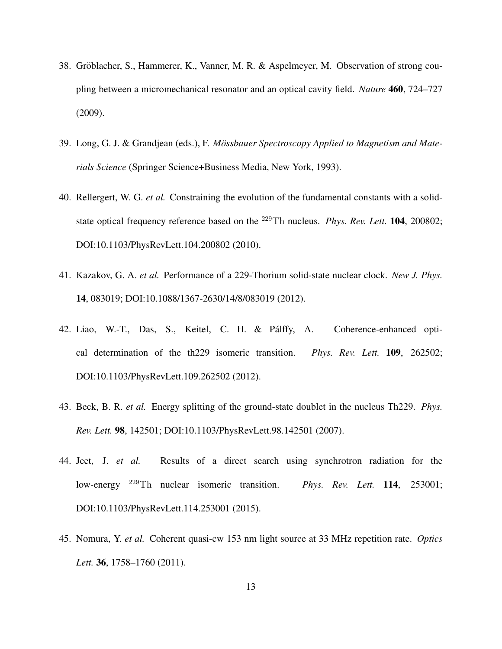- <span id="page-12-0"></span>38. Gröblacher, S., Hammerer, K., Vanner, M. R. & Aspelmeyer, M. Observation of strong coupling between a micromechanical resonator and an optical cavity field. *Nature* 460, 724–727 (2009).
- <span id="page-12-1"></span>39. Long, G. J. & Grandjean (eds.), F. *Mossbauer Spectroscopy Applied to Magnetism and Mate- ¨ rials Science* (Springer Science+Business Media, New York, 1993).
- <span id="page-12-2"></span>40. Rellergert, W. G. *et al.* Constraining the evolution of the fundamental constants with a solidstate optical frequency reference based on the <sup>229</sup>Th nucleus. *Phys. Rev. Lett.* 104, 200802; DOI:10.1103/PhysRevLett.104.200802 (2010).
- 41. Kazakov, G. A. *et al.* Performance of a 229-Thorium solid-state nuclear clock. *New J. Phys.* 14, 083019; DOI:10.1088/1367-2630/14/8/083019 (2012).
- <span id="page-12-3"></span>42. Liao, W.-T., Das, S., Keitel, C. H. & Palffy, A. Coherence-enhanced opti- ´ cal determination of the th229 isomeric transition. *Phys. Rev. Lett.* 109, 262502; DOI:10.1103/PhysRevLett.109.262502 (2012).
- <span id="page-12-4"></span>43. Beck, B. R. *et al.* Energy splitting of the ground-state doublet in the nucleus Th229. *Phys. Rev. Lett.* 98, 142501; DOI:10.1103/PhysRevLett.98.142501 (2007).
- <span id="page-12-5"></span>44. Jeet, J. *et al.* Results of a direct search using synchrotron radiation for the low-energy <sup>229</sup>Th nuclear isomeric transition. *Phys. Rev. Lett.* 114, 253001; DOI:10.1103/PhysRevLett.114.253001 (2015).
- <span id="page-12-6"></span>45. Nomura, Y. *et al.* Coherent quasi-cw 153 nm light source at 33 MHz repetition rate. *Optics Lett.* 36, 1758–1760 (2011).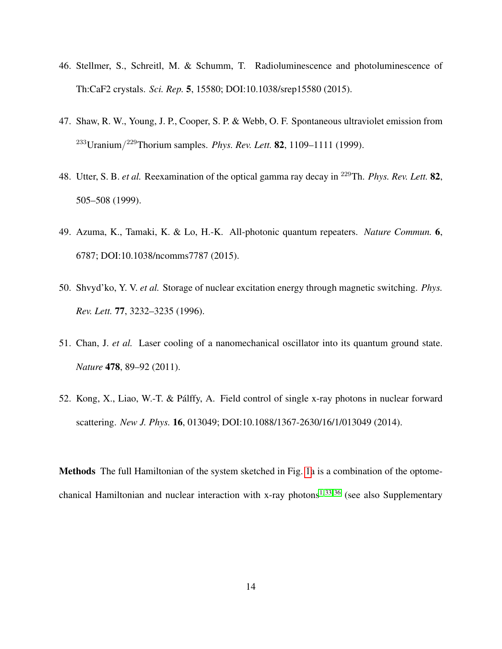- <span id="page-13-1"></span>46. Stellmer, S., Schreitl, M. & Schumm, T. Radioluminescence and photoluminescence of Th:CaF2 crystals. *Sci. Rep.* 5, 15580; DOI:10.1038/srep15580 (2015).
- <span id="page-13-3"></span>47. Shaw, R. W., Young, J. P., Cooper, S. P. & Webb, O. F. Spontaneous ultraviolet emission from <sup>233</sup>Uranium/ <sup>229</sup>Thorium samples. *Phys. Rev. Lett.* 82, 1109–1111 (1999).
- <span id="page-13-2"></span>48. Utter, S. B. *et al.* Reexamination of the optical gamma ray decay in <sup>229</sup>Th. *Phys. Rev. Lett.* 82, 505–508 (1999).
- <span id="page-13-4"></span>49. Azuma, K., Tamaki, K. & Lo, H.-K. All-photonic quantum repeaters. *Nature Commun.* 6, 6787; DOI:10.1038/ncomms7787 (2015).
- <span id="page-13-0"></span>50. Shvyd'ko, Y. V. *et al.* Storage of nuclear excitation energy through magnetic switching. *Phys. Rev. Lett.* 77, 3232–3235 (1996).
- <span id="page-13-5"></span>51. Chan, J. *et al.* Laser cooling of a nanomechanical oscillator into its quantum ground state. *Nature* 478, 89–92 (2011).
- <span id="page-13-6"></span>52. Kong, X., Liao, W.-T. & Palffy, A. Field control of single x-ray photons in nuclear forward ´ scattering. *New J. Phys.* 16, 013049; DOI:10.1088/1367-2630/16/1/013049 (2014).

Methods The full Hamiltonian of the system sketched in Fig. [1a](#page-17-0) is a combination of the optome-chanical Hamiltonian and nuclear interaction with x-ray photons<sup>[1,](#page-8-0) [33,](#page-11-5) [36](#page-11-7)</sup> (see also Supplementary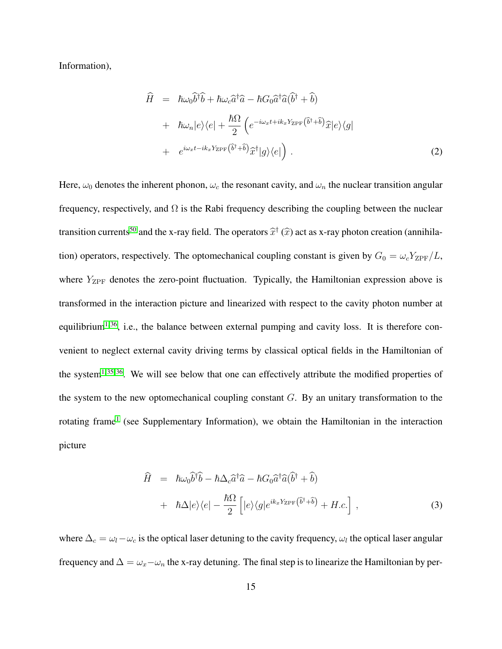Information),

$$
\hat{H} = \hbar \omega_0 \hat{b}^\dagger \hat{b} + \hbar \omega_c \hat{a}^\dagger \hat{a} - \hbar G_0 \hat{a}^\dagger \hat{a} (\hat{b}^\dagger + \hat{b}) \n+ \hbar \omega_n |e\rangle \langle e| + \frac{\hbar \Omega}{2} \left( e^{-i\omega_x t + ik_x Y_{\text{ZPF}}(\hat{b}^\dagger + \hat{b})} \hat{x} |e\rangle \langle g| \n+ e^{i\omega_x t - ik_x Y_{\text{ZPF}}(\hat{b}^\dagger + \hat{b})} \hat{x}^\dagger |g\rangle \langle e| \right).
$$
\n(2)

Here,  $\omega_0$  denotes the inherent phonon,  $\omega_c$  the resonant cavity, and  $\omega_n$  the nuclear transition angular frequency, respectively, and  $\Omega$  is the Rabi frequency describing the coupling between the nuclear transition currents<sup>[50](#page-13-0)</sup> and the x-ray field. The operators  $\hat{x}^{\dagger}$  ( $\hat{x}$ ) act as x-ray photon creation (annihilation) operators, respectively. The optomechanical coupling constant is given by  $G_0 = \omega_c Y_{\rm ZPF}/L$ , where  $Y_{\text{ZPF}}$  denotes the zero-point fluctuation. Typically, the Hamiltonian expression above is transformed in the interaction picture and linearized with respect to the cavity photon number at equilibrium<sup>[1,](#page-8-0) [36](#page-11-7)</sup>, i.e., the balance between external pumping and cavity loss. It is therefore convenient to neglect external cavity driving terms by classical optical fields in the Hamiltonian of the system<sup>[1,](#page-8-0) [35,](#page-11-9) [36](#page-11-7)</sup>. We will see below that one can effectively attribute the modified properties of the system to the new optomechanical coupling constant  $G$ . By an unitary transformation to the rotating frame<sup>[1](#page-8-0)</sup> (see Supplementary Information), we obtain the Hamiltonian in the interaction picture

$$
\hat{H} = \hbar\omega_0 \hat{b}^\dagger \hat{b} - \hbar\Delta_c \hat{a}^\dagger \hat{a} - \hbar G_0 \hat{a}^\dagger \hat{a} (\hat{b}^\dagger + \hat{b}) \n+ \hbar\Delta|e\rangle\langle e| - \frac{\hbar\Omega}{2} \left[|e\rangle\langle g|e^{ik_x Y_{\text{ZPF}}(\hat{b}^\dagger + \hat{b})} + H.c.\right],
$$
\n(3)

where  $\Delta_c = \omega_l - \omega_c$  is the optical laser detuning to the cavity frequency,  $\omega_l$  the optical laser angular frequency and  $\Delta = \omega_x - \omega_n$  the x-ray detuning. The final step is to linearize the Hamiltonian by per-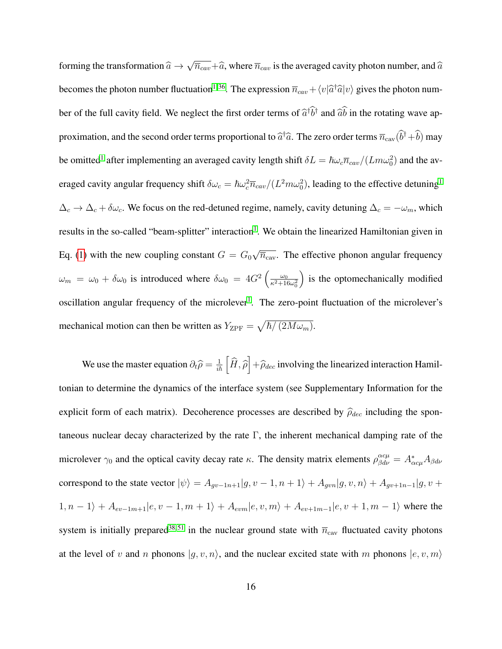forming the transformation  $\widehat{a} \rightarrow$ √  $\overline{n}_{cav}+\widehat{a}$ , where  $\overline{n}_{cav}$  is the averaged cavity photon number, and  $\widehat{a}$ becomes the photon number fluctuation<sup>[1,](#page-8-0) [36](#page-11-7)</sup>. The expression  $\overline{n}_{cav} + \langle v|\hat{a}^\dagger\hat{a}|v\rangle$  gives the photon number of the full cavity field. We neglect the first order terms of  $\hat{a}^{\dagger} \hat{b}^{\dagger}$  and  $\hat{a}\hat{b}$  in the rotating wave approximation, and the second order terms proportional to  $\hat{a}^\dagger\hat{a}$ . The zero order terms  $\overline{n}_{\text{cav}}(\hat{b}^\dagger+\hat{b})$  may be omitted<sup>[1](#page-8-0)</sup> after implementing an averaged cavity length shift  $\delta L = \hbar \omega_c \overline{n}_{cav}/(Lm\omega_0^2)$  and the averaged cavity angular frequency shift  $\delta\omega_c = \hbar\omega_c^2 \overline{n}_{cav}/(L^2m\omega_0^2)$ , leading to the effective detuning<sup>[1](#page-8-0)</sup>  $\Delta_c \to \Delta_c + \delta \omega_c$ . We focus on the red-detuned regime, namely, cavity detuning  $\Delta_c = -\omega_m$ , which results in the so-called "beam-splitter" interaction<sup>[1](#page-8-0)</sup>. We obtain the linearized Hamiltonian given in Eq. [\(1\)](#page-3-0) with the new coupling constant  $G = G_0$ √  $\overline{n}_{\text{cav}}$ . The effective phonon angular frequency  $\omega_m = \omega_0 + \delta \omega_0$  is introduced where  $\delta \omega_0 = 4G^2 \left( \frac{\omega_0}{\epsilon^2 + 10} \right)$  $\overline{\kappa^2+16\omega_0^2}$ ) is the optomechanically modified oscillation angular frequency of the microlever<sup>[1](#page-8-0)</sup>. The zero-point fluctuation of the microlever's mechanical motion can then be written as  $Y_{\text{ZPF}} = \sqrt{\hbar / (2M\omega_m)}$ .

We use the master equation  $\partial_t \hat{\rho} = \frac{1}{i\hbar} \left[ \hat{H}, \hat{\rho} \right] + \hat{\rho}_{dec}$  involving the linearized interaction Hamiltonian to determine the dynamics of the interface system (see Supplementary Information for the explicit form of each matrix). Decoherence processes are described by  $\hat{\rho}_{dec}$  including the spontaneous nuclear decay characterized by the rate  $\Gamma$ , the inherent mechanical damping rate of the microlever  $\gamma_0$  and the optical cavity decay rate  $\kappa$ . The density matrix elements  $\rho_{\beta d\nu}^{\alpha c\mu} = A_{\alpha c\mu}^* A_{\beta d\nu}$ correspond to the state vector  $|\psi\rangle = A_{gv-1n+1}|g, v-1, n+1\rangle + A_{gvn}|g, v, n\rangle + A_{gv+1n-1}|g, v+1\rangle$  $1, n - 1$ } +  $A_{ev-1m+1}|e, v-1, m + 1$ } +  $A_{evm}|e, v, m$ } +  $A_{ev+1m-1}|e, v+1, m - 1$ } where the system is initially prepared<sup>[38,](#page-12-0)51</sup> in the nuclear ground state with  $\overline{n}_{\text{cav}}$  fluctuated cavity photons at the level of v and n phonons  $|g, v, n\rangle$ , and the nuclear excited state with m phonons  $|e, v, m\rangle$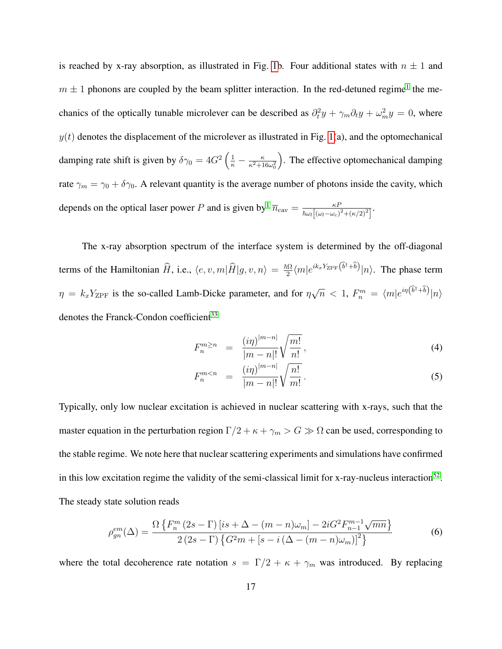is reached by x-ray absorption, as illustrated in Fig. [1b](#page-17-0). Four additional states with  $n \pm 1$  and  $m \pm 1$  $m \pm 1$  phonons are coupled by the beam splitter interaction. In the red-detuned regime<sup>1</sup> the mechanics of the optically tunable microlever can be described as  $\partial_t^2 y + \gamma_m \partial_t y + \omega_m^2 y = 0$ , where  $y(t)$  denotes the displacement of the microlever as illustrated in Fig. [1\(](#page-17-0)a), and the optomechanical damping rate shift is given by  $\delta \gamma_0 = 4G^2 \left( \frac{1}{\kappa} - \frac{\kappa}{\kappa^2 + 1} \right)$  $\overline{\kappa^2+16\omega_0^2}$  . The effective optomechanical damping rate  $\gamma_m = \gamma_0 + \delta \gamma_0$ . A relevant quantity is the average number of photons inside the cavity, which depends on the optical laser power P and is given by  $\overline{n}_{\text{cav}} = \frac{\kappa}{\hbar c_0} \frac{\kappa}{\left(\kappa \kappa + \kappa \right)^2}$  $\frac{\kappa P}{\hbar\omega_{l}\left[\left(\omega_{l}-\omega_{c}\right)^{2}+\left(\kappa/2\right)^{2}\right]}.$ 

The x-ray absorption spectrum of the interface system is determined by the off-diagonal terms of the Hamiltonian  $\widehat{H}$ , i.e.,  $\langle e, v, m|\widehat{H}|g, v, n\rangle = \frac{\hbar\Omega}{2}$  $\frac{d\Omega}{2}\langle m|e^{ik_xY_{\text{ZPF}}}(\hat{b}^{\dagger}+\hat{b})|n\rangle$ . The phase term  $\eta = k_x Y_{\text{ZPF}}$  is the so-called Lamb-Dicke parameter, and for  $\eta$ √  $\overline{n} \; < \; 1, \; F_n^m \; = \; \langle m | e^{i \eta \left( \widehat{b}^\dagger + \widehat{b} \right)} | n \rangle$ denotes the Franck-Condon coefficient<sup>[33](#page-11-5)</sup>

$$
F_n^{m \ge n} = \frac{(i\eta)^{|m-n|}}{|m-n|!} \sqrt{\frac{m!}{n!}},
$$
\n(4)

$$
F_n^{m < n} = \frac{(i\eta)^{|m-n|}}{|m-n|!} \sqrt{\frac{n!}{m!}}.
$$
\n(5)

Typically, only low nuclear excitation is achieved in nuclear scattering with x-rays, such that the master equation in the perturbation region  $\Gamma/2 + \kappa + \gamma_m > G \gg \Omega$  can be used, corresponding to the stable regime. We note here that nuclear scattering experiments and simulations have confirmed in this low excitation regime the validity of the semi-classical limit for x-ray-nucleus interaction<sup>[52](#page-13-6)</sup>. The steady state solution reads

<span id="page-16-0"></span>
$$
\rho_{gn}^{em}(\Delta) = \frac{\Omega\left\{F_n^m\left(2s-\Gamma\right)\left[is+\Delta-(m-n)\omega_m\right]-2iG^2F_{n-1}^{m-1}\sqrt{mn}\right\}}{2\left(2s-\Gamma\right)\left\{G^2m+[s-i\left(\Delta-(m-n)\omega_m\right)]^2\right\}}
$$
(6)

where the total decoherence rate notation  $s = \Gamma/2 + \kappa + \gamma_m$  was introduced. By replacing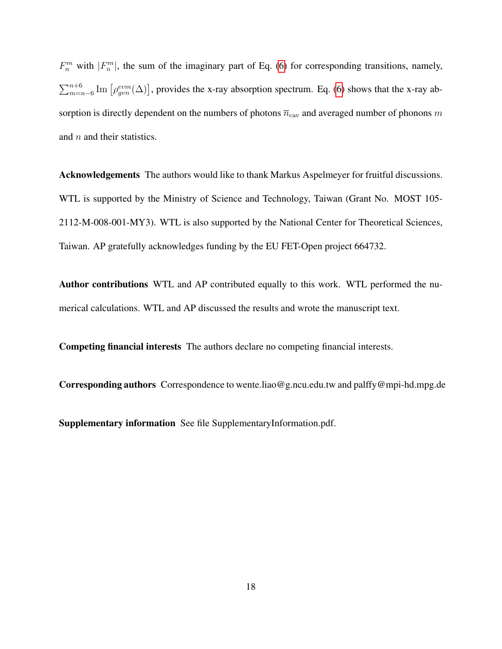$F_n^m$  with  $|F_n^m|$ , the sum of the imaginary part of Eq. [\(6\)](#page-16-0) for corresponding transitions, namely,  $\sum_{m=n-6}^{n+6}$  Im  $\left[\rho_{gun}^{evm}(\Delta)\right]$ , provides the x-ray absorption spectrum. Eq. [\(6\)](#page-16-0) shows that the x-ray absorption is directly dependent on the numbers of photons  $\overline{n}_{\text{cav}}$  and averaged number of phonons m and  $n$  and their statistics.

Acknowledgements The authors would like to thank Markus Aspelmeyer for fruitful discussions. WTL is supported by the Ministry of Science and Technology, Taiwan (Grant No. MOST 105- 2112-M-008-001-MY3). WTL is also supported by the National Center for Theoretical Sciences, Taiwan. AP gratefully acknowledges funding by the EU FET-Open project 664732.

Author contributions WTL and AP contributed equally to this work. WTL performed the numerical calculations. WTL and AP discussed the results and wrote the manuscript text.

Competing financial interests The authors declare no competing financial interests.

Corresponding authors Correspondence to wente.liao@g.ncu.edu.tw and palffy@mpi-hd.mpg.de

<span id="page-17-0"></span>Supplementary information See file SupplementaryInformation.pdf.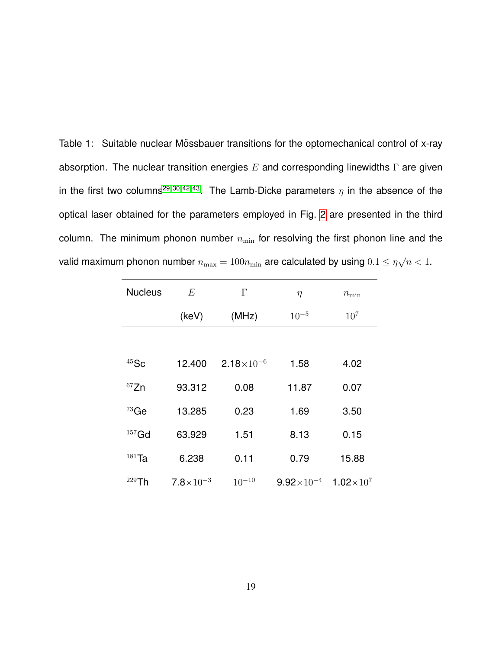<span id="page-18-0"></span>Table 1: Suitable nuclear Mössbauer transitions for the optomechanical control of x-ray absorption. The nuclear transition energies  $E$  and corresponding linewidths  $\Gamma$  are given in the first two columns<sup>[29,](#page-11-1) [30,](#page-11-2) [42,](#page-12-3) [43](#page-12-4)</sup>. The Lamb-Dicke parameters  $\eta$  in the absence of the optical laser obtained for the parameters employed in Fig. [2](#page-19-0) are presented in the third column. The minimum phonon number  $n_{\min}$  for resolving the first phonon line and the valid maximum phonon number  $n_{\max} = 100n_{\min}$  are calculated by using  $0.1 \leq \eta$ √  $\overline{n}$  < 1.

| <b>Nucleus</b> | E                    | $\Gamma$            | $\eta$              | $n_{\min}$                    |
|----------------|----------------------|---------------------|---------------------|-------------------------------|
|                | (keV)                | (MHz)               | $10^{-5}$           | $10^{7}$                      |
|                |                      |                     |                     |                               |
| $45$ Sc        | 12.400               | $2.18\times10^{-6}$ | 1.58                | 4.02                          |
| 67Zn           | 93.312               | 0.08                | 11.87               | 0.07                          |
| $73$ Ge        | 13.285               | 0.23                | 1.69                | 3.50                          |
| $157$ Gd       | 63.929               | 1.51                | 8.13                | 0.15                          |
| $181$ Ta       | 6.238                | 0.11                | 0.79                | 15.88                         |
| $229$ Th       | $7.8 \times 10^{-3}$ | $10^{-10}$          | $9.92\times10^{-4}$ | 1.02 $\times$ 10 <sup>7</sup> |